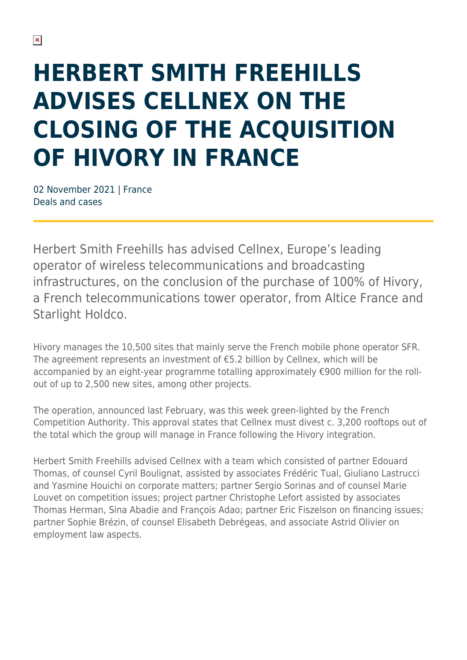## **HERBERT SMITH FREEHILLS ADVISES CELLNEX ON THE CLOSING OF THE ACQUISITION OF HIVORY IN FRANCE**

02 November 2021 | France Deals and cases

Herbert Smith Freehills has advised Cellnex, Europe's leading operator of wireless telecommunications and broadcasting infrastructures, on the conclusion of the purchase of 100% of Hivory, a French telecommunications tower operator, from Altice France and Starlight Holdco.

Hivory manages the 10,500 sites that mainly serve the French mobile phone operator SFR. The agreement represents an investment of €5.2 billion by Cellnex, which will be accompanied by an eight-year programme totalling approximately €900 million for the rollout of up to 2,500 new sites, among other projects.

The operation, announced last February, was this week green-lighted by the French Competition Authority. This approval states that Cellnex must divest c. 3,200 rooftops out of the total which the group will manage in France following the Hivory integration.

Herbert Smith Freehills advised Cellnex with a team which consisted of partner Edouard Thomas, of counsel Cyril Boulignat, assisted by associates Frédéric Tual, Giuliano Lastrucci and Yasmine Houichi on corporate matters; partner Sergio Sorinas and of counsel Marie Louvet on competition issues; project partner Christophe Lefort assisted by associates Thomas Herman, Sina Abadie and François Adao; partner Eric Fiszelson on financing issues; partner Sophie Brézin, of counsel Elisabeth Debrégeas, and associate Astrid Olivier on employment law aspects.